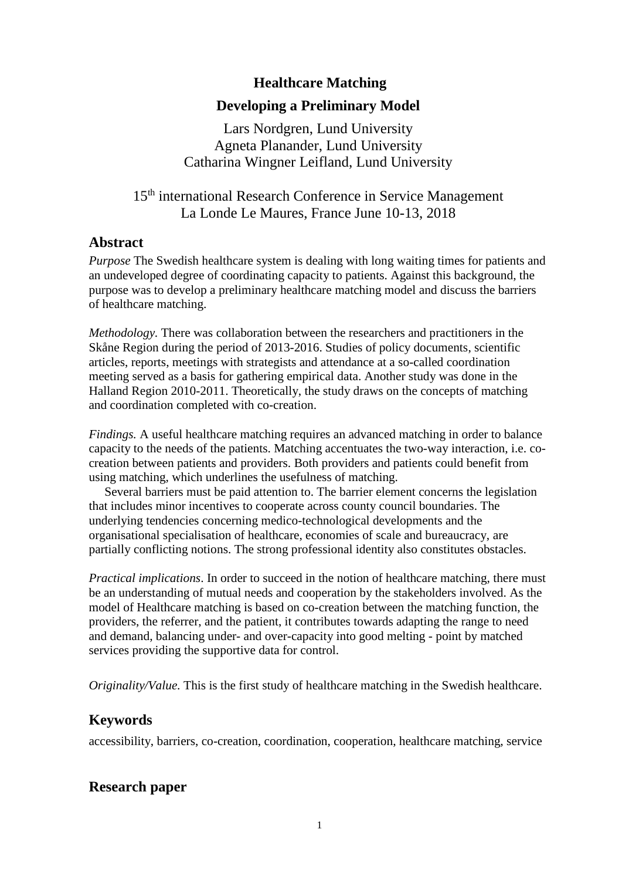### **Healthcare Matching**

### **Developing a Preliminary Model**

Lars Nordgren, Lund University Agneta Planander, Lund University Catharina Wingner Leifland, Lund University

# 15<sup>th</sup> international Research Conference in Service Management La Londe Le Maures, France June 10-13, 2018

### **Abstract**

*Purpose* The Swedish healthcare system is dealing with long waiting times for patients and an undeveloped degree of coordinating capacity to patients. Against this background, the purpose was to develop a preliminary healthcare matching model and discuss the barriers of healthcare matching.

*Methodology.* There was collaboration between the researchers and practitioners in the Skåne Region during the period of 2013-2016. Studies of policy documents, scientific articles, reports, meetings with strategists and attendance at a so-called coordination meeting served as a basis for gathering empirical data. Another study was done in the Halland Region 2010-2011. Theoretically, the study draws on the concepts of matching and coordination completed with co-creation.

*Findings.* A useful healthcare matching requires an advanced matching in order to balance capacity to the needs of the patients. Matching accentuates the two-way interaction, i.e. cocreation between patients and providers. Both providers and patients could benefit from using matching, which underlines the usefulness of matching.

 Several barriers must be paid attention to. The barrier element concerns the legislation that includes minor incentives to cooperate across county council boundaries. The underlying tendencies concerning medico-technological developments and the organisational specialisation of healthcare, economies of scale and bureaucracy, are partially conflicting notions. The strong professional identity also constitutes obstacles.

*Practical implications*. In order to succeed in the notion of healthcare matching, there must be an understanding of mutual needs and cooperation by the stakeholders involved. As the model of Healthcare matching is based on co-creation between the matching function, the providers, the referrer, and the patient, it contributes towards adapting the range to need and demand, balancing under- and over-capacity into good melting - point by matched services providing the supportive data for control.

*Originality/Value.* This is the first study of healthcare matching in the Swedish healthcare.

## **Keywords**

accessibility, barriers, co-creation, coordination, cooperation, healthcare matching, service

## **Research paper**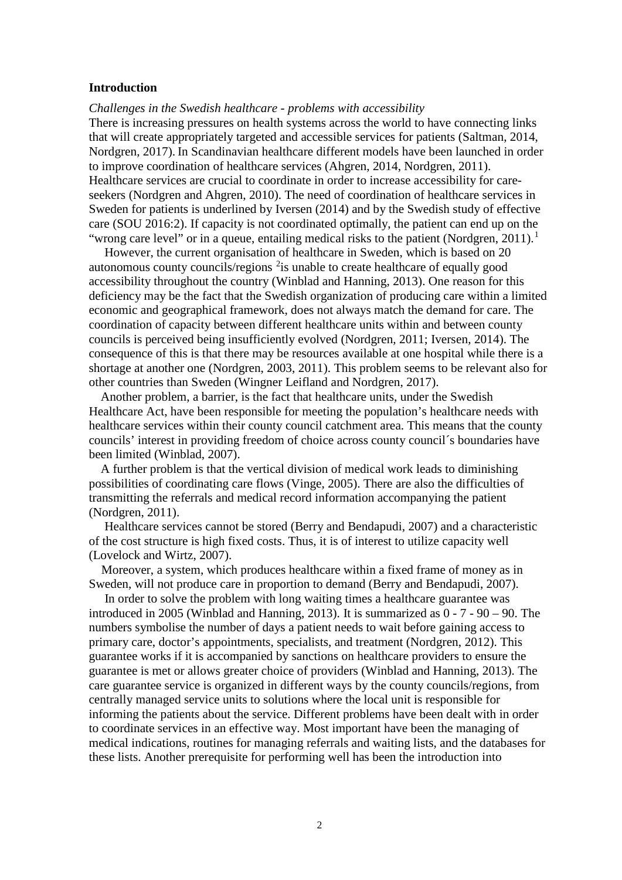#### **Introduction**

#### *Challenges in the Swedish healthcare - problems with accessibility*

There is increasing pressures on health systems across the world to have connecting links that will create appropriately targeted and accessible services for patients (Saltman, 2014, Nordgren, 2017). In Scandinavian healthcare different models have been launched in order to improve coordination of healthcare services (Ahgren, 2014, Nordgren, 2011). Healthcare services are crucial to coordinate in order to increase accessibility for careseekers (Nordgren and Ahgren, 2010). The need of coordination of healthcare services in Sweden for patients is underlined by Iversen (2014) and by the Swedish study of effective care (SOU 2016:2). If capacity is not coordinated optimally, the patient can end up on the "wrong care level" or in a queue, entailing medical risks to the patient (Nordgren, 20[1](#page-17-0)1).<sup>1</sup>

 However, the current organisation of healthcare in Sweden, which is based on 20 autonomous county councils/regions  $2i$  $2i$  is unable to create healthcare of equally good accessibility throughout the country (Winblad and Hanning, 2013). One reason for this deficiency may be the fact that the Swedish organization of producing care within a limited economic and geographical framework, does not always match the demand for care. The coordination of capacity between different healthcare units within and between county councils is perceived being insufficiently evolved (Nordgren, 2011; Iversen, 2014). The consequence of this is that there may be resources available at one hospital while there is a shortage at another one (Nordgren, 2003, 2011). This problem seems to be relevant also for other countries than Sweden (Wingner Leifland and Nordgren, 2017).

Another problem, a barrier, is the fact that healthcare units, under the Swedish Healthcare Act, have been responsible for meeting the population's healthcare needs with healthcare services within their county council catchment area. This means that the county councils' interest in providing freedom of choice across county council´s boundaries have been limited (Winblad, 2007).

A further problem is that the vertical division of medical work leads to diminishing possibilities of coordinating care flows (Vinge, 2005). There are also the difficulties of transmitting the referrals and medical record information accompanying the patient (Nordgren, 2011).

 Healthcare services cannot be stored (Berry and Bendapudi, 2007) and a characteristic of the cost structure is high fixed costs. Thus, it is of interest to utilize capacity well (Lovelock and Wirtz, 2007).

 Moreover, a system, which produces healthcare within a fixed frame of money as in Sweden, will not produce care in proportion to demand (Berry and Bendapudi, 2007).

 In order to solve the problem with long waiting times a healthcare guarantee was introduced in 2005 (Winblad and Hanning, 2013). It is summarized as 0 - 7 - 90 – 90. The numbers symbolise the number of days a patient needs to wait before gaining access to primary care, doctor's appointments, specialists, and treatment (Nordgren, 2012). This guarantee works if it is accompanied by sanctions on healthcare providers to ensure the guarantee is met or allows greater choice of providers (Winblad and Hanning, 2013). The care guarantee service is organized in different ways by the county councils/regions, from centrally managed service units to solutions where the local unit is responsible for informing the patients about the service. Different problems have been dealt with in order to coordinate services in an effective way. Most important have been the managing of medical indications, routines for managing referrals and waiting lists, and the databases for these lists. Another prerequisite for performing well has been the introduction into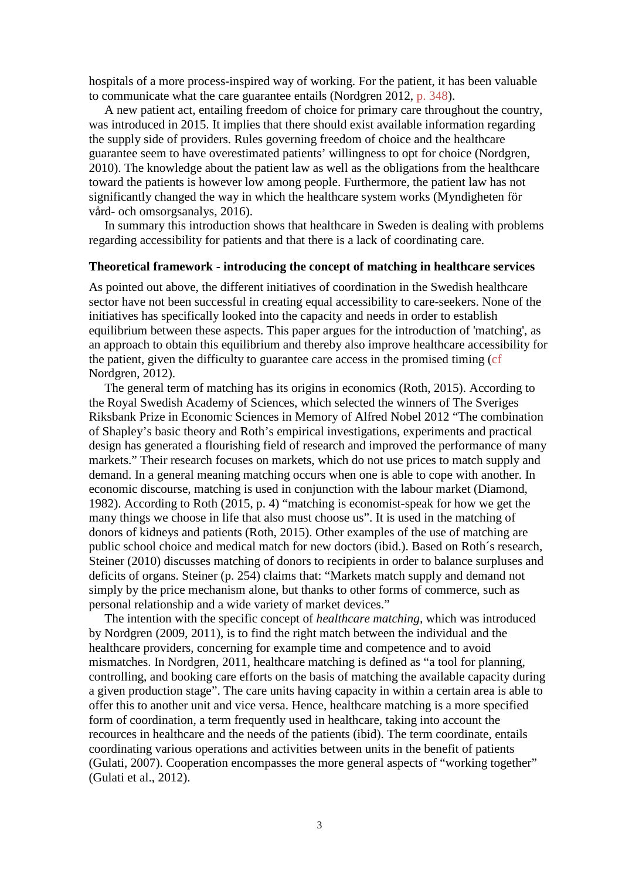hospitals of a more process-inspired way of working. For the patient, it has been valuable to communicate what the care guarantee entails (Nordgren 2012, p. 348).

 A new patient act, entailing freedom of choice for primary care throughout the country, was introduced in 2015. It implies that there should exist available information regarding the supply side of providers. Rules governing freedom of choice and the healthcare guarantee seem to have overestimated patients' willingness to opt for choice (Nordgren, 2010). The knowledge about the patient law as well as the obligations from the healthcare toward the patients is however low among people. Furthermore, the patient law has not significantly changed the way in which the healthcare system works (Myndigheten för vård- och omsorgsanalys, 2016).

 In summary this introduction shows that healthcare in Sweden is dealing with problems regarding accessibility for patients and that there is a lack of coordinating care.

#### **Theoretical framework - introducing the concept of matching in healthcare services**

As pointed out above, the different initiatives of coordination in the Swedish healthcare sector have not been successful in creating equal accessibility to care-seekers. None of the initiatives has specifically looked into the capacity and needs in order to establish equilibrium between these aspects. This paper argues for the introduction of 'matching', as an approach to obtain this equilibrium and thereby also improve healthcare accessibility for the patient, given the difficulty to guarantee care access in the promised timing (cf Nordgren, 2012).

 The general term of matching has its origins in economics (Roth, 2015). According to the Royal Swedish Academy of Sciences, which selected the winners of The Sveriges Riksbank Prize in Economic Sciences in Memory of Alfred Nobel 2012 "The combination of Shapley's basic theory and Roth's empirical investigations, experiments and practical design has generated a flourishing field of research and improved the performance of many markets." Their research focuses on markets, which do not use prices to match supply and demand. In a general meaning matching occurs when one is able to cope with another. In economic discourse, matching is used in conjunction with the labour market (Diamond, 1982). According to Roth (2015, p. 4) "matching is economist-speak for how we get the many things we choose in life that also must choose us". It is used in the matching of donors of kidneys and patients (Roth, 2015). Other examples of the use of matching are public school choice and medical match for new doctors (ibid.). Based on Roth´s research, Steiner (2010) discusses matching of donors to recipients in order to balance surpluses and deficits of organs. Steiner (p. 254) claims that: "Markets match supply and demand not simply by the price mechanism alone, but thanks to other forms of commerce, such as personal relationship and a wide variety of market devices."

 The intention with the specific concept of *healthcare matching,* which was introduced by Nordgren (2009, 2011), is to find the right match between the individual and the healthcare providers, concerning for example time and competence and to avoid mismatches. In Nordgren, 2011, healthcare matching is defined as "a tool for planning, controlling, and booking care efforts on the basis of matching the available capacity during a given production stage". The care units having capacity in within a certain area is able to offer this to another unit and vice versa. Hence, healthcare matching is a more specified form of coordination, a term frequently used in healthcare, taking into account the recources in healthcare and the needs of the patients (ibid). The term coordinate, entails coordinating various operations and activities between units in the benefit of patients (Gulati, 2007). Cooperation encompasses the more general aspects of "working together" (Gulati et al., 2012).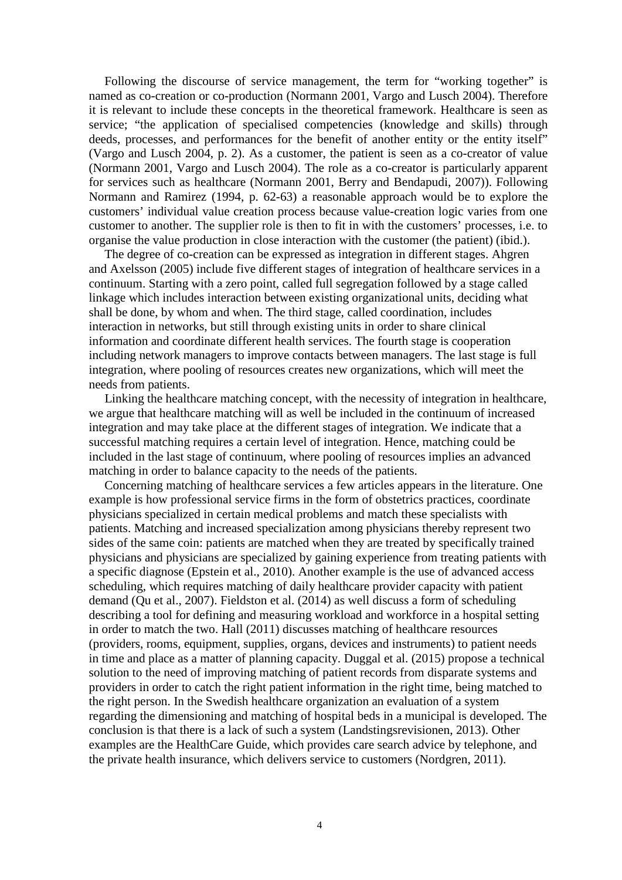Following the discourse of service management, the term for "working together" is named as co-creation or co-production (Normann 2001, Vargo and Lusch 2004). Therefore it is relevant to include these concepts in the theoretical framework. Healthcare is seen as service; "the application of specialised competencies (knowledge and skills) through deeds, processes, and performances for the benefit of another entity or the entity itself" (Vargo and Lusch 2004, p. 2). As a customer, the patient is seen as a co-creator of value (Normann 2001, Vargo and Lusch 2004). The role as a co-creator is particularly apparent for services such as healthcare (Normann 2001, Berry and Bendapudi, 2007)). Following Normann and Ramirez (1994, p. 62-63) a reasonable approach would be to explore the customers' individual value creation process because value-creation logic varies from one customer to another. The supplier role is then to fit in with the customers' processes, i.e. to organise the value production in close interaction with the customer (the patient) (ibid.).

 The degree of co-creation can be expressed as integration in different stages. Ahgren and Axelsson (2005) include five different stages of integration of healthcare services in a continuum. Starting with a zero point, called full segregation followed by a stage called linkage which includes interaction between existing organizational units, deciding what shall be done, by whom and when. The third stage, called coordination, includes interaction in networks, but still through existing units in order to share clinical information and coordinate different health services. The fourth stage is cooperation including network managers to improve contacts between managers. The last stage is full integration, where pooling of resources creates new organizations, which will meet the needs from patients.

 Linking the healthcare matching concept, with the necessity of integration in healthcare, we argue that healthcare matching will as well be included in the continuum of increased integration and may take place at the different stages of integration. We indicate that a successful matching requires a certain level of integration. Hence, matching could be included in the last stage of continuum, where pooling of resources implies an advanced matching in order to balance capacity to the needs of the patients.

 Concerning matching of healthcare services a few articles appears in the literature. One example is how professional service firms in the form of obstetrics practices, coordinate physicians specialized in certain medical problems and match these specialists with patients. Matching and increased specialization among physicians thereby represent two sides of the same coin: patients are matched when they are treated by specifically trained physicians and physicians are specialized by gaining experience from treating patients with a specific diagnose (Epstein et al., 2010). Another example is the use of advanced access scheduling, which requires matching of daily healthcare provider capacity with patient demand (Qu et al., 2007). Fieldston et al. (2014) as well discuss a form of scheduling describing a tool for defining and measuring workload and workforce in a hospital setting in order to match the two. Hall (2011) discusses matching of healthcare resources (providers, rooms, equipment, supplies, organs, devices and instruments) to patient needs in time and place as a matter of planning capacity. Duggal et al. (2015) propose a technical solution to the need of improving matching of patient records from disparate systems and providers in order to catch the right patient information in the right time, being matched to the right person. In the Swedish healthcare organization an evaluation of a system regarding the dimensioning and matching of hospital beds in a municipal is developed. The conclusion is that there is a lack of such a system (Landstingsrevisionen, 2013). Other examples are the HealthCare Guide, which provides care search advice by telephone, and the private health insurance, which delivers service to customers (Nordgren, 2011).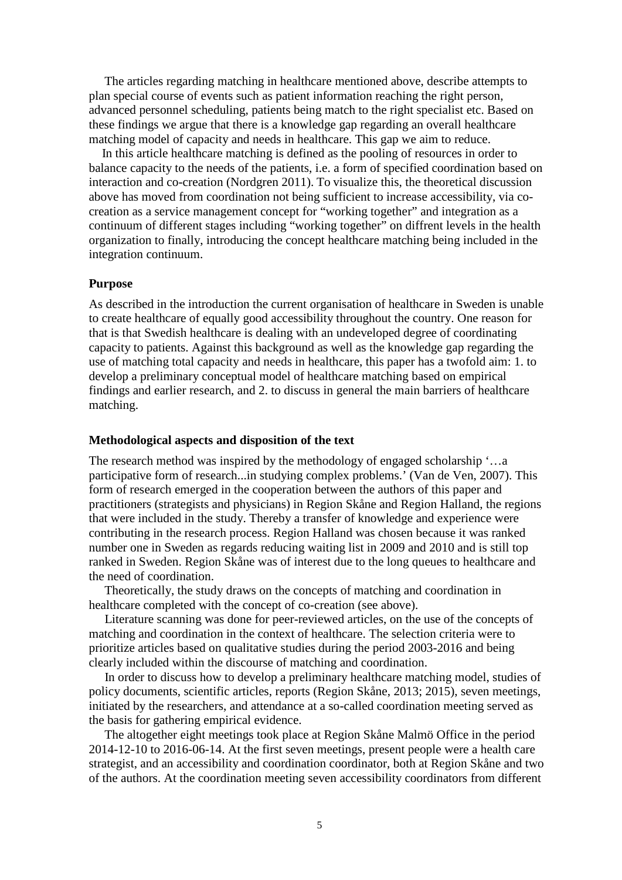The articles regarding matching in healthcare mentioned above, describe attempts to plan special course of events such as patient information reaching the right person, advanced personnel scheduling, patients being match to the right specialist etc. Based on these findings we argue that there is a knowledge gap regarding an overall healthcare matching model of capacity and needs in healthcare. This gap we aim to reduce.

 In this article healthcare matching is defined as the pooling of resources in order to balance capacity to the needs of the patients, i.e. a form of specified coordination based on interaction and co-creation (Nordgren 2011). To visualize this, the theoretical discussion above has moved from coordination not being sufficient to increase accessibility, via cocreation as a service management concept for "working together" and integration as a continuum of different stages including "working together" on diffrent levels in the health organization to finally, introducing the concept healthcare matching being included in the integration continuum.

#### **Purpose**

As described in the introduction the current organisation of healthcare in Sweden is unable to create healthcare of equally good accessibility throughout the country. One reason for that is that Swedish healthcare is dealing with an undeveloped degree of coordinating capacity to patients. Against this background as well as the knowledge gap regarding the use of matching total capacity and needs in healthcare, this paper has a twofold aim: 1. to develop a preliminary conceptual model of healthcare matching based on empirical findings and earlier research, and 2. to discuss in general the main barriers of healthcare matching.

#### **Methodological aspects and disposition of the text**

The research method was inspired by the methodology of engaged scholarship '…a participative form of research...in studying complex problems.' (Van de Ven, 2007). This form of research emerged in the cooperation between the authors of this paper and practitioners (strategists and physicians) in Region Skåne and Region Halland, the regions that were included in the study. Thereby a transfer of knowledge and experience were contributing in the research process. Region Halland was chosen because it was ranked number one in Sweden as regards reducing waiting list in 2009 and 2010 and is still top ranked in Sweden. Region Skåne was of interest due to the long queues to healthcare and the need of coordination.

 Theoretically, the study draws on the concepts of matching and coordination in healthcare completed with the concept of co-creation (see above).

 Literature scanning was done for peer-reviewed articles, on the use of the concepts of matching and coordination in the context of healthcare. The selection criteria were to prioritize articles based on qualitative studies during the period 2003-2016 and being clearly included within the discourse of matching and coordination.

 In order to discuss how to develop a preliminary healthcare matching model, studies of policy documents, scientific articles, reports (Region Skåne, 2013; 2015), seven meetings, initiated by the researchers, and attendance at a so-called coordination meeting served as the basis for gathering empirical evidence.

 The altogether eight meetings took place at Region Skåne Malmö Office in the period 2014-12-10 to 2016-06-14. At the first seven meetings, present people were a health care strategist, and an accessibility and coordination coordinator, both at Region Skåne and two of the authors. At the coordination meeting seven accessibility coordinators from different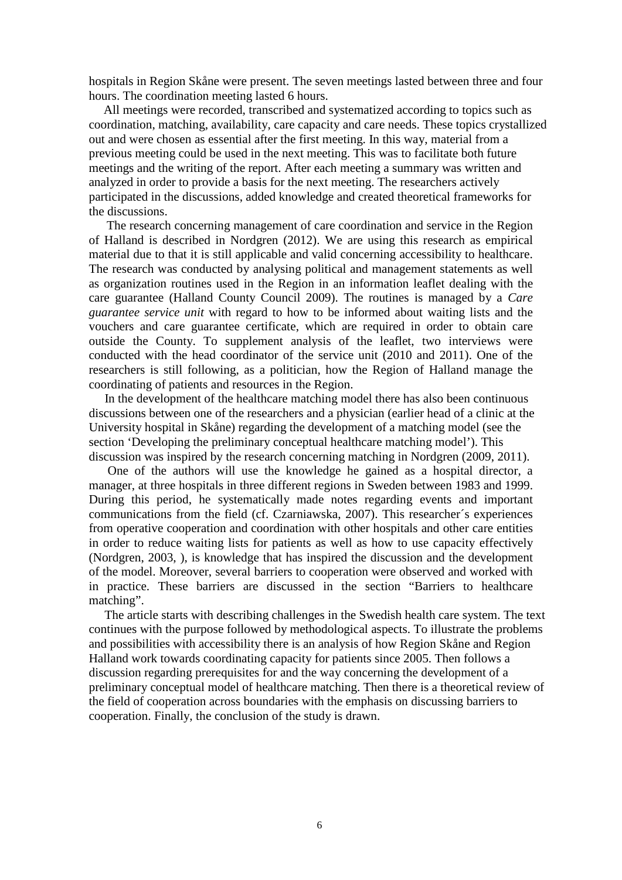hospitals in Region Skåne were present. The seven meetings lasted between three and four hours. The coordination meeting lasted 6 hours.

All meetings were recorded, transcribed and systematized according to topics such as coordination, matching, availability, care capacity and care needs. These topics crystallized out and were chosen as essential after the first meeting. In this way, material from a previous meeting could be used in the next meeting. This was to facilitate both future meetings and the writing of the report. After each meeting a summary was written and analyzed in order to provide a basis for the next meeting. The researchers actively participated in the discussions, added knowledge and created theoretical frameworks for the discussions.

The research concerning management of care coordination and service in the Region of Halland is described in Nordgren (2012). We are using this research as empirical material due to that it is still applicable and valid concerning accessibility to healthcare. The research was conducted by analysing political and management statements as well as organization routines used in the Region in an information leaflet dealing with the care guarantee (Halland County Council 2009). The routines is managed by a *Care guarantee service unit* with regard to how to be informed about waiting lists and the vouchers and care guarantee certificate, which are required in order to obtain care outside the County. To supplement analysis of the leaflet, two interviews were conducted with the head coordinator of the service unit (2010 and 2011). One of the researchers is still following, as a politician, how the Region of Halland manage the coordinating of patients and resources in the Region.

 In the development of the healthcare matching model there has also been continuous discussions between one of the researchers and a physician (earlier head of a clinic at the University hospital in Skåne) regarding the development of a matching model (see the section 'Developing the preliminary conceptual healthcare matching model'). This discussion was inspired by the research concerning matching in Nordgren (2009, 2011).

 One of the authors will use the knowledge he gained as a hospital director, a manager, at three hospitals in three different regions in Sweden between 1983 and 1999. During this period, he systematically made notes regarding events and important communications from the field (cf. Czarniawska, 2007). This researcher´s experiences from operative cooperation and coordination with other hospitals and other care entities in order to reduce waiting lists for patients as well as how to use capacity effectively (Nordgren, 2003, ), is knowledge that has inspired the discussion and the development of the model. Moreover, several barriers to cooperation were observed and worked with in practice. These barriers are discussed in the section "Barriers to healthcare matching".

 The article starts with describing challenges in the Swedish health care system. The text continues with the purpose followed by methodological aspects. To illustrate the problems and possibilities with accessibility there is an analysis of how Region Skåne and Region Halland work towards coordinating capacity for patients since 2005. Then follows a discussion regarding prerequisites for and the way concerning the development of a preliminary conceptual model of healthcare matching. Then there is a theoretical review of the field of cooperation across boundaries with the emphasis on discussing barriers to cooperation. Finally, the conclusion of the study is drawn.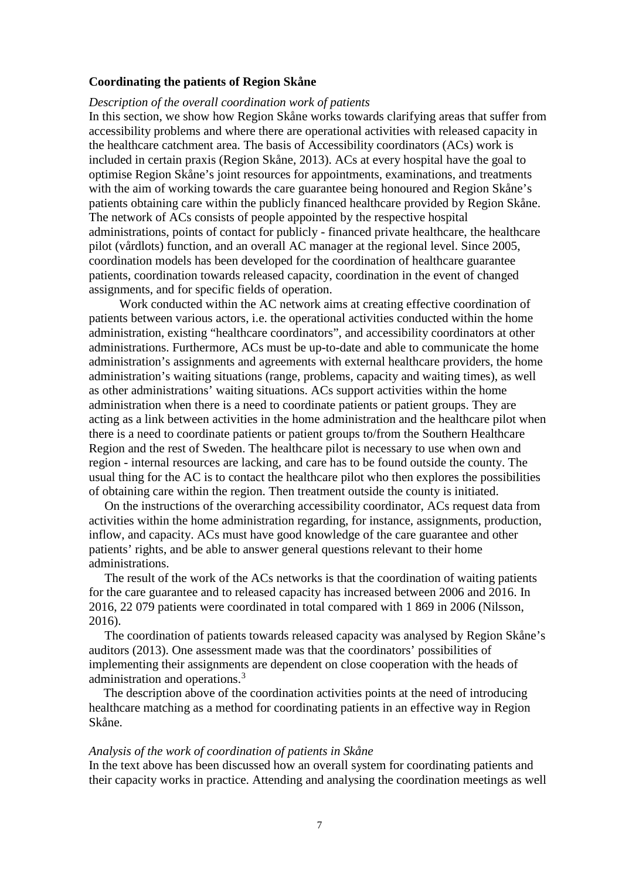#### **Coordinating the patients of Region Skåne**

#### *Description of the overall coordination work of patients*

In this section, we show how Region Skåne works towards clarifying areas that suffer from accessibility problems and where there are operational activities with released capacity in the healthcare catchment area. The basis of Accessibility coordinators (ACs) work is included in certain praxis (Region Skåne, 2013). ACs at every hospital have the goal to optimise Region Skåne's joint resources for appointments, examinations, and treatments with the aim of working towards the care guarantee being honoured and Region Skåne's patients obtaining care within the publicly financed healthcare provided by Region Skåne. The network of ACs consists of people appointed by the respective hospital administrations, points of contact for publicly - financed private healthcare, the healthcare pilot (vårdlots) function, and an overall AC manager at the regional level. Since 2005, coordination models has been developed for the coordination of healthcare guarantee patients, coordination towards released capacity, coordination in the event of changed assignments, and for specific fields of operation.

 Work conducted within the AC network aims at creating effective coordination of patients between various actors, i.e. the operational activities conducted within the home administration, existing "healthcare coordinators", and accessibility coordinators at other administrations. Furthermore, ACs must be up-to-date and able to communicate the home administration's assignments and agreements with external healthcare providers, the home administration's waiting situations (range, problems, capacity and waiting times), as well as other administrations' waiting situations. ACs support activities within the home administration when there is a need to coordinate patients or patient groups. They are acting as a link between activities in the home administration and the healthcare pilot when there is a need to coordinate patients or patient groups to/from the Southern Healthcare Region and the rest of Sweden. The healthcare pilot is necessary to use when own and region - internal resources are lacking, and care has to be found outside the county. The usual thing for the AC is to contact the healthcare pilot who then explores the possibilities of obtaining care within the region. Then treatment outside the county is initiated.

 On the instructions of the overarching accessibility coordinator, ACs request data from activities within the home administration regarding, for instance, assignments, production, inflow, and capacity. ACs must have good knowledge of the care guarantee and other patients' rights, and be able to answer general questions relevant to their home administrations.

 The result of the work of the ACs networks is that the coordination of waiting patients for the care guarantee and to released capacity has increased between 2006 and 2016. In 2016, 22 079 patients were coordinated in total compared with 1 869 in 2006 (Nilsson, 2016).

 The coordination of patients towards released capacity was analysed by Region Skåne's auditors (2013). One assessment made was that the coordinators' possibilities of implementing their assignments are dependent on close cooperation with the heads of administration and operations.<sup>[3](#page-17-2)</sup>

The description above of the coordination activities points at the need of introducing healthcare matching as a method for coordinating patients in an effective way in Region Skåne.

#### *Analysis of the work of coordination of patients in Skåne*

In the text above has been discussed how an overall system for coordinating patients and their capacity works in practice. Attending and analysing the coordination meetings as well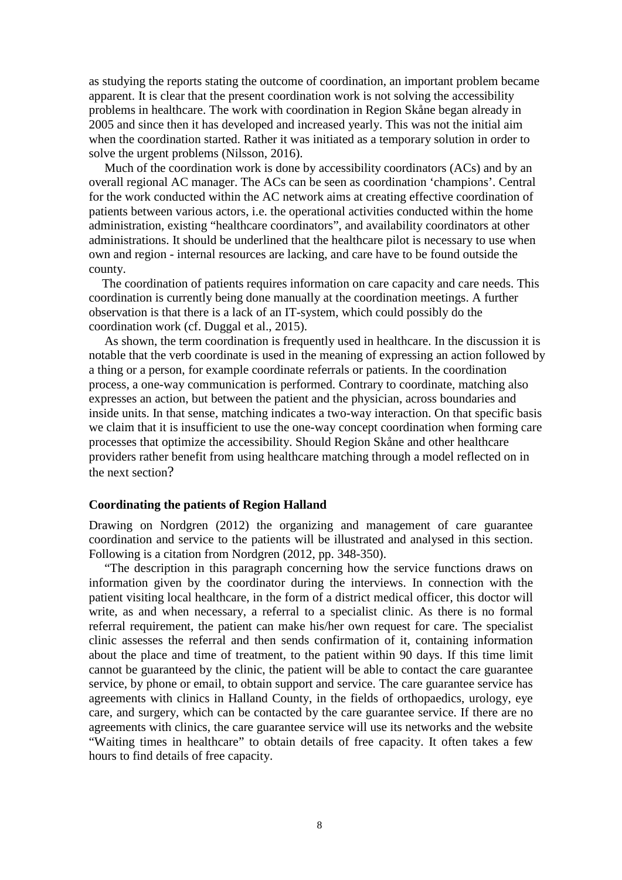as studying the reports stating the outcome of coordination, an important problem became apparent. It is clear that the present coordination work is not solving the accessibility problems in healthcare. The work with coordination in Region Skåne began already in 2005 and since then it has developed and increased yearly. This was not the initial aim when the coordination started. Rather it was initiated as a temporary solution in order to solve the urgent problems (Nilsson, 2016).

 Much of the coordination work is done by accessibility coordinators (ACs) and by an overall regional AC manager. The ACs can be seen as coordination 'champions'. Central for the work conducted within the AC network aims at creating effective coordination of patients between various actors, i.e. the operational activities conducted within the home administration, existing "healthcare coordinators", and availability coordinators at other administrations. It should be underlined that the healthcare pilot is necessary to use when own and region - internal resources are lacking, and care have to be found outside the county.

 The coordination of patients requires information on care capacity and care needs. This coordination is currently being done manually at the coordination meetings. A further observation is that there is a lack of an IT-system, which could possibly do the coordination work (cf. Duggal et al., 2015).

 As shown, the term coordination is frequently used in healthcare. In the discussion it is notable that the verb coordinate is used in the meaning of expressing an action followed by a thing or a person, for example coordinate referrals or patients. In the coordination process, a one-way communication is performed. Contrary to coordinate, matching also expresses an action, but between the patient and the physician, across boundaries and inside units. In that sense, matching indicates a two-way interaction. On that specific basis we claim that it is insufficient to use the one-way concept coordination when forming care processes that optimize the accessibility. Should Region Skåne and other healthcare providers rather benefit from using healthcare matching through a model reflected on in the next section?

#### **Coordinating the patients of Region Halland**

Drawing on Nordgren (2012) the organizing and management of care guarantee coordination and service to the patients will be illustrated and analysed in this section. Following is a citation from Nordgren (2012, pp. 348-350).

 "The description in this paragraph concerning how the service functions draws on information given by the coordinator during the interviews. In connection with the patient visiting local healthcare, in the form of a district medical officer, this doctor will write, as and when necessary, a referral to a specialist clinic. As there is no formal referral requirement, the patient can make his/her own request for care. The specialist clinic assesses the referral and then sends confirmation of it, containing information about the place and time of treatment, to the patient within 90 days. If this time limit cannot be guaranteed by the clinic, the patient will be able to contact the care guarantee service, by phone or email, to obtain support and service. The care guarantee service has agreements with clinics in Halland County, in the fields of orthopaedics, urology, eye care, and surgery, which can be contacted by the care guarantee service. If there are no agreements with clinics, the care guarantee service will use its networks and the website "Waiting times in healthcare" to obtain details of free capacity. It often takes a few hours to find details of free capacity.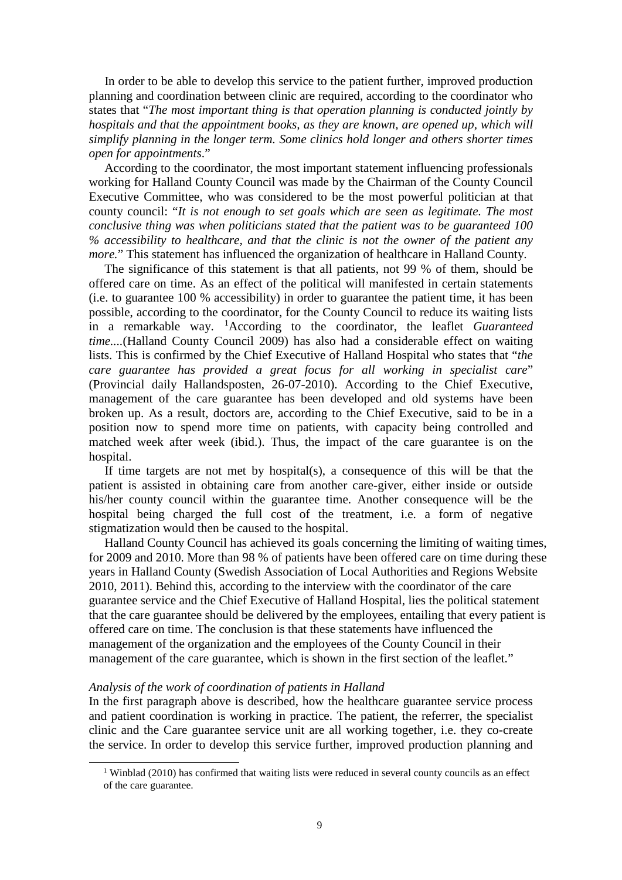In order to be able to develop this service to the patient further, improved production planning and coordination between clinic are required, according to the coordinator who states that "*The most important thing is that operation planning is conducted jointly by hospitals and that the appointment books, as they are known, are opened up, which will simplify planning in the longer term. Some clinics hold longer and others shorter times open for appointments*."

 According to the coordinator, the most important statement influencing professionals working for Halland County Council was made by the Chairman of the County Council Executive Committee, who was considered to be the most powerful politician at that county council: "*It is not enough to set goals which are seen as legitimate. The most conclusive thing was when politicians stated that the patient was to be guaranteed 100 % accessibility to healthcare, and that the clinic is not the owner of the patient any more.*" This statement has influenced the organization of healthcare in Halland County.

 The significance of this statement is that all patients, not 99 % of them, should be offered care on time. As an effect of the political will manifested in certain statements (i.e. to guarantee 100 % accessibility) in order to guarantee the patient time, it has been possible, according to the coordinator, for the County Council to reduce its waiting lists in a remarkable way. [1](#page-8-0) According to the coordinator, the leaflet *Guaranteed time....*(Halland County Council 2009) has also had a considerable effect on waiting lists. This is confirmed by the Chief Executive of Halland Hospital who states that "*the care guarantee has provided a great focus for all working in specialist care*" (Provincial daily Hallandsposten, 26-07-2010). According to the Chief Executive, management of the care guarantee has been developed and old systems have been broken up. As a result, doctors are, according to the Chief Executive, said to be in a position now to spend more time on patients, with capacity being controlled and matched week after week (ibid.). Thus, the impact of the care guarantee is on the hospital.

 If time targets are not met by hospital(s), a consequence of this will be that the patient is assisted in obtaining care from another care-giver, either inside or outside his/her county council within the guarantee time. Another consequence will be the hospital being charged the full cost of the treatment, i.e. a form of negative stigmatization would then be caused to the hospital.

 Halland County Council has achieved its goals concerning the limiting of waiting times, for 2009 and 2010. More than 98 % of patients have been offered care on time during these years in Halland County (Swedish Association of Local Authorities and Regions Website 2010, 2011). Behind this, according to the interview with the coordinator of the care guarantee service and the Chief Executive of Halland Hospital, lies the political statement that the care guarantee should be delivered by the employees, entailing that every patient is offered care on time. The conclusion is that these statements have influenced the management of the organization and the employees of the County Council in their management of the care guarantee, which is shown in the first section of the leaflet."

#### *Analysis of the work of coordination of patients in Halland*

In the first paragraph above is described, how the healthcare guarantee service process and patient coordination is working in practice. The patient, the referrer, the specialist clinic and the Care guarantee service unit are all working together, i.e. they co-create the service. In order to develop this service further, improved production planning and

<span id="page-8-0"></span><sup>&</sup>lt;sup>1</sup> Winblad (2010) has confirmed that waiting lists were reduced in several county councils as an effect of the care guarantee.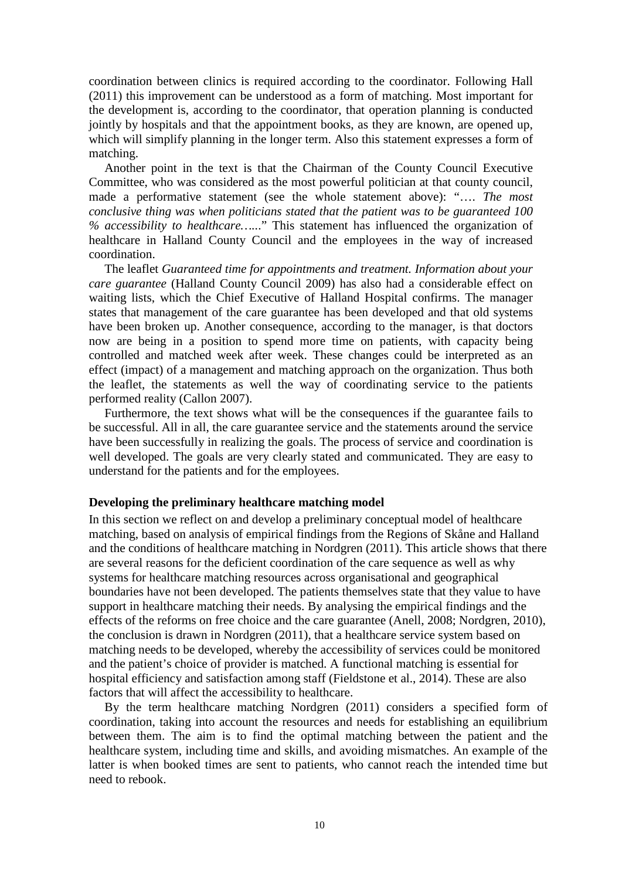coordination between clinics is required according to the coordinator. Following Hall (2011) this improvement can be understood as a form of matching. Most important for the development is, according to the coordinator, that operation planning is conducted jointly by hospitals and that the appointment books, as they are known, are opened up, which will simplify planning in the longer term. Also this statement expresses a form of matching.

 Another point in the text is that the Chairman of the County Council Executive Committee, who was considered as the most powerful politician at that county council, made a performative statement (see the whole statement above): "…. *The most conclusive thing was when politicians stated that the patient was to be guaranteed 100 % accessibility to healthcare…..*." This statement has influenced the organization of healthcare in Halland County Council and the employees in the way of increased coordination.

 The leaflet *Guaranteed time for appointments and treatment. Information about your care guarantee* (Halland County Council 2009) has also had a considerable effect on waiting lists, which the Chief Executive of Halland Hospital confirms. The manager states that management of the care guarantee has been developed and that old systems have been broken up. Another consequence, according to the manager, is that doctors now are being in a position to spend more time on patients, with capacity being controlled and matched week after week. These changes could be interpreted as an effect (impact) of a management and matching approach on the organization. Thus both the leaflet, the statements as well the way of coordinating service to the patients performed reality (Callon 2007).

 Furthermore, the text shows what will be the consequences if the guarantee fails to be successful. All in all, the care guarantee service and the statements around the service have been successfully in realizing the goals. The process of service and coordination is well developed. The goals are very clearly stated and communicated. They are easy to understand for the patients and for the employees.

#### **Developing the preliminary healthcare matching model**

In this section we reflect on and develop a preliminary conceptual model of healthcare matching, based on analysis of empirical findings from the Regions of Skåne and Halland and the conditions of healthcare matching in Nordgren (2011). This article shows that there are several reasons for the deficient coordination of the care sequence as well as why systems for healthcare matching resources across organisational and geographical boundaries have not been developed. The patients themselves state that they value to have support in healthcare matching their needs. By analysing the empirical findings and the effects of the reforms on free choice and the care guarantee (Anell, 2008; Nordgren, 2010), the conclusion is drawn in Nordgren (2011), that a healthcare service system based on matching needs to be developed, whereby the accessibility of services could be monitored and the patient's choice of provider is matched. A functional matching is essential for hospital efficiency and satisfaction among staff (Fieldstone et al., 2014). These are also factors that will affect the accessibility to healthcare.

 By the term healthcare matching Nordgren (2011) considers a specified form of coordination, taking into account the resources and needs for establishing an equilibrium between them. The aim is to find the optimal matching between the patient and the healthcare system, including time and skills, and avoiding mismatches. An example of the latter is when booked times are sent to patients, who cannot reach the intended time but need to rebook.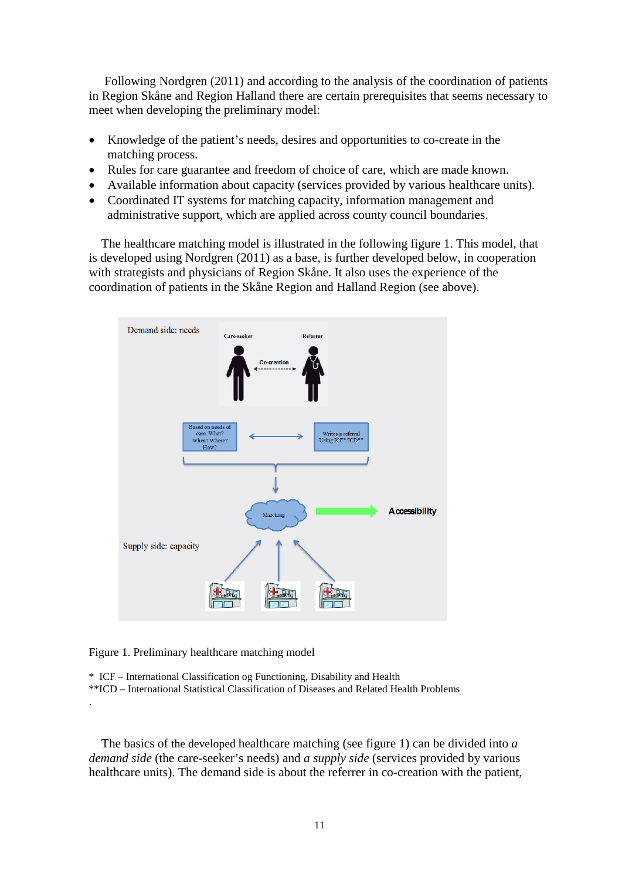Following Nordgren (2011) and according to the analysis of the coordination of patients in Region Skåne and Region Halland there are certain prerequisites that seems necessary to meet when developing the preliminary model:

- Knowledge of the patient's needs, desires and opportunities to co-create in the matching process.
- Rules for care guarantee and freedom of choice of care, which are made known.
- Available information about capacity (services provided by various healthcare units).
- Coordinated IT systems for matching capacity, information management and administrative support, which are applied across county council boundaries.

 The healthcare matching model is illustrated in the following figure 1. This model, that is developed using Nordgren (2011) as a base, is further developed below, in cooperation with strategists and physicians of Region Skåne. It also uses the experience of the coordination of patients in the Skåne Region and Halland Region (see above).



Figure 1. Preliminary healthcare matching model

.

\* ICF – International Classification og Functioning, Disability and Health

\*\*ICD – International Statistical Classification of Diseases and Related Health Problems

 The basics of the developed healthcare matching (see figure 1) can be divided into *a demand side* (the care-seeker's needs) and *a supply side* (services provided by various healthcare units). The demand side is about the referrer in co-creation with the patient,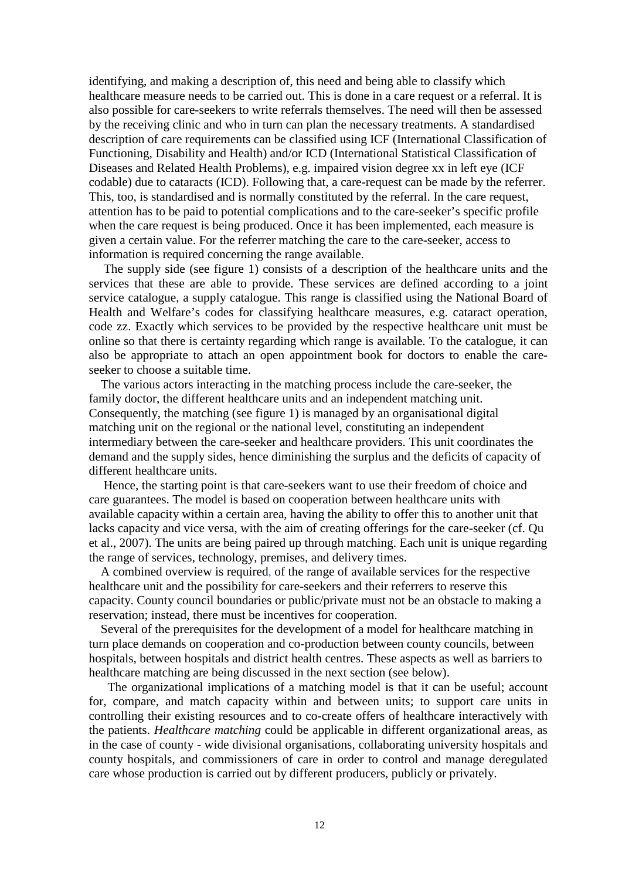identifying, and making a description of, this need and being able to classify which healthcare measure needs to be carried out. This is done in a care request or a referral. It is also possible for care-seekers to write referrals themselves. The need will then be assessed by the receiving clinic and who in turn can plan the necessary treatments. A standardised description of care requirements can be classified using ICF (International Classification of Functioning, Disability and Health) and/or ICD (International Statistical Classification of Diseases and Related Health Problems), e.g. impaired vision degree xx in left eye (ICF codable) due to cataracts (ICD). Following that, a care-request can be made by the referrer. This, too, is standardised and is normally constituted by the referral. In the care request, attention has to be paid to potential complications and to the care-seeker's specific profile when the care request is being produced. Once it has been implemented, each measure is given a certain value. For the referrer matching the care to the care-seeker, access to information is required concerning the range available.

The supply side (see figure 1) consists of a description of the healthcare units and the services that these are able to provide. These services are defined according to a joint service catalogue, a supply catalogue. This range is classified using the National Board of Health and Welfare's codes for classifying healthcare measures, e.g. cataract operation, code zz. Exactly which services to be provided by the respective healthcare unit must be online so that there is certainty regarding which range is available. To the catalogue, it can also be appropriate to attach an open appointment book for doctors to enable the careseeker to choose a suitable time.

The various actors interacting in the matching process include the care-seeker, the family doctor, the different healthcare units and an independent matching unit. Consequently, the matching (see figure 1) is managed by an organisational digital matching unit on the regional or the national level, constituting an independent intermediary between the care-seeker and healthcare providers. This unit coordinates the demand and the supply sides, hence diminishing the surplus and the deficits of capacity of different healthcare units.

Hence, the starting point is that care-seekers want to use their freedom of choice and care guarantees. The model is based on cooperation between healthcare units with available capacity within a certain area, having the ability to offer this to another unit that lacks capacity and vice versa, with the aim of creating offerings for the care-seeker (cf. Qu et al., 2007). The units are being paired up through matching. Each unit is unique regarding the range of services, technology, premises, and delivery times.

A combined overview is required, of the range of available services for the respective healthcare unit and the possibility for care-seekers and their referrers to reserve this capacity. County council boundaries or public/private must not be an obstacle to making a reservation; instead, there must be incentives for cooperation.

Several of the prerequisites for the development of a model for healthcare matching in turn place demands on cooperation and co-production between county councils, between hospitals, between hospitals and district health centres. These aspects as well as barriers to healthcare matching are being discussed in the next section (see below).

 The organizational implications of a matching model is that it can be useful; account for, compare, and match capacity within and between units; to support care units in controlling their existing resources and to co-create offers of healthcare interactively with the patients. *Healthcare matching* could be applicable in different organizational areas, as in the case of county - wide divisional organisations, collaborating university hospitals and county hospitals, and commissioners of care in order to control and manage deregulated care whose production is carried out by different producers, publicly or privately.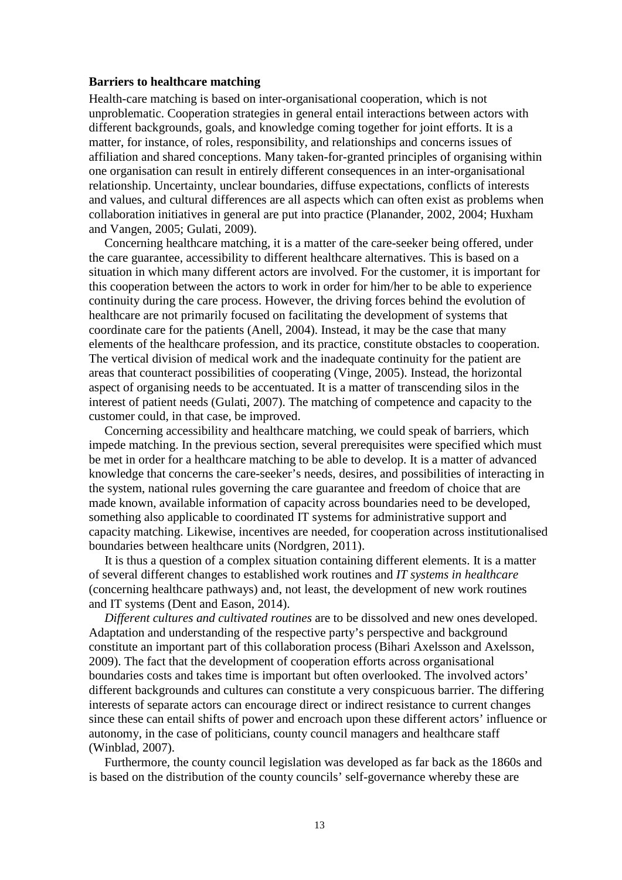#### **Barriers to healthcare matching**

Health-care matching is based on inter-organisational cooperation, which is not unproblematic. Cooperation strategies in general entail interactions between actors with different backgrounds, goals, and knowledge coming together for joint efforts. It is a matter, for instance, of roles, responsibility, and relationships and concerns issues of affiliation and shared conceptions. Many taken-for-granted principles of organising within one organisation can result in entirely different consequences in an inter-organisational relationship. Uncertainty, unclear boundaries, diffuse expectations, conflicts of interests and values, and cultural differences are all aspects which can often exist as problems when collaboration initiatives in general are put into practice (Planander, 2002, 2004; Huxham and Vangen, 2005; Gulati, 2009).

 Concerning healthcare matching, it is a matter of the care-seeker being offered, under the care guarantee, accessibility to different healthcare alternatives. This is based on a situation in which many different actors are involved. For the customer, it is important for this cooperation between the actors to work in order for him/her to be able to experience continuity during the care process. However, the driving forces behind the evolution of healthcare are not primarily focused on facilitating the development of systems that coordinate care for the patients (Anell, 2004). Instead, it may be the case that many elements of the healthcare profession, and its practice, constitute obstacles to cooperation. The vertical division of medical work and the inadequate continuity for the patient are areas that counteract possibilities of cooperating (Vinge, 2005). Instead, the horizontal aspect of organising needs to be accentuated. It is a matter of transcending silos in the interest of patient needs (Gulati, 2007). The matching of competence and capacity to the customer could, in that case, be improved.

 Concerning accessibility and healthcare matching, we could speak of barriers, which impede matching. In the previous section, several prerequisites were specified which must be met in order for a healthcare matching to be able to develop. It is a matter of advanced knowledge that concerns the care-seeker's needs, desires, and possibilities of interacting in the system, national rules governing the care guarantee and freedom of choice that are made known, available information of capacity across boundaries need to be developed, something also applicable to coordinated IT systems for administrative support and capacity matching. Likewise, incentives are needed, for cooperation across institutionalised boundaries between healthcare units (Nordgren, 2011).

 It is thus a question of a complex situation containing different elements. It is a matter of several different changes to established work routines and *IT systems in healthcare* (concerning healthcare pathways) and, not least, the development of new work routines and IT systems (Dent and Eason, 2014).

 *Different cultures and cultivated routines* are to be dissolved and new ones developed. Adaptation and understanding of the respective party's perspective and background constitute an important part of this collaboration process (Bihari Axelsson and Axelsson, 2009). The fact that the development of cooperation efforts across organisational boundaries costs and takes time is important but often overlooked. The involved actors' different backgrounds and cultures can constitute a very conspicuous barrier. The differing interests of separate actors can encourage direct or indirect resistance to current changes since these can entail shifts of power and encroach upon these different actors' influence or autonomy, in the case of politicians, county council managers and healthcare staff (Winblad, 2007).

 Furthermore, the county council legislation was developed as far back as the 1860s and is based on the distribution of the county councils' self-governance whereby these are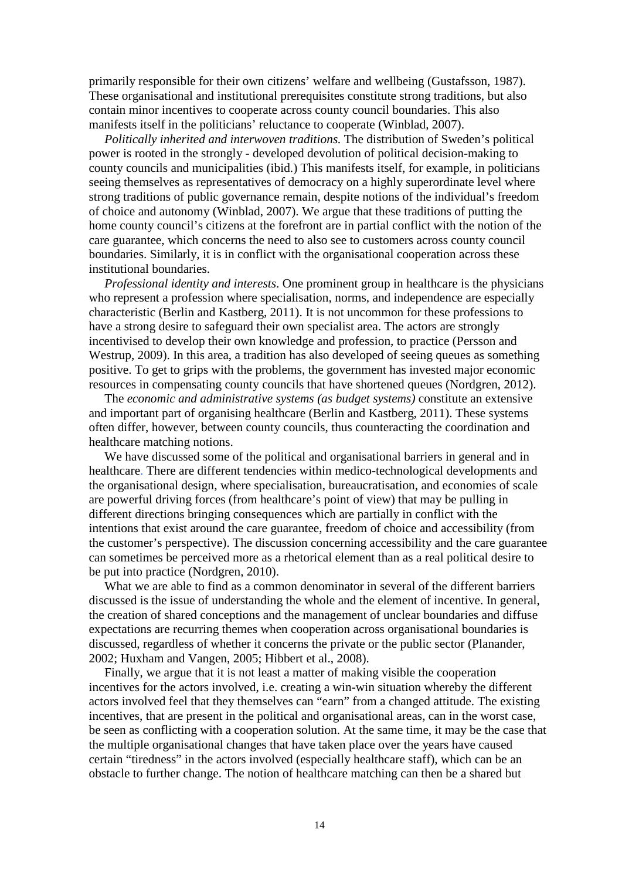primarily responsible for their own citizens' welfare and wellbeing (Gustafsson, 1987). These organisational and institutional prerequisites constitute strong traditions, but also contain minor incentives to cooperate across county council boundaries. This also manifests itself in the politicians' reluctance to cooperate (Winblad, 2007).

 *Politically inherited and interwoven traditions.* The distribution of Sweden's political power is rooted in the strongly - developed devolution of political decision-making to county councils and municipalities (ibid.) This manifests itself, for example, in politicians seeing themselves as representatives of democracy on a highly superordinate level where strong traditions of public governance remain, despite notions of the individual's freedom of choice and autonomy (Winblad, 2007). We argue that these traditions of putting the home county council's citizens at the forefront are in partial conflict with the notion of the care guarantee, which concerns the need to also see to customers across county council boundaries. Similarly, it is in conflict with the organisational cooperation across these institutional boundaries.

 *Professional identity and interests*. One prominent group in healthcare is the physicians who represent a profession where specialisation, norms, and independence are especially characteristic (Berlin and Kastberg, 2011). It is not uncommon for these professions to have a strong desire to safeguard their own specialist area. The actors are strongly incentivised to develop their own knowledge and profession, to practice (Persson and Westrup, 2009). In this area, a tradition has also developed of seeing queues as something positive. To get to grips with the problems, the government has invested major economic resources in compensating county councils that have shortened queues (Nordgren, 2012).

 The *economic and administrative systems (as budget systems)* constitute an extensive and important part of organising healthcare (Berlin and Kastberg, 2011). These systems often differ, however, between county councils, thus counteracting the coordination and healthcare matching notions.

 We have discussed some of the political and organisational barriers in general and in healthcare. There are different tendencies within medico-technological developments and the organisational design, where specialisation, bureaucratisation, and economies of scale are powerful driving forces (from healthcare's point of view) that may be pulling in different directions bringing consequences which are partially in conflict with the intentions that exist around the care guarantee, freedom of choice and accessibility (from the customer's perspective). The discussion concerning accessibility and the care guarantee can sometimes be perceived more as a rhetorical element than as a real political desire to be put into practice (Nordgren, 2010).

 What we are able to find as a common denominator in several of the different barriers discussed is the issue of understanding the whole and the element of incentive. In general, the creation of shared conceptions and the management of unclear boundaries and diffuse expectations are recurring themes when cooperation across organisational boundaries is discussed, regardless of whether it concerns the private or the public sector (Planander, 2002; Huxham and Vangen, 2005; Hibbert et al., 2008).

 Finally, we argue that it is not least a matter of making visible the cooperation incentives for the actors involved, i.e. creating a win-win situation whereby the different actors involved feel that they themselves can "earn" from a changed attitude. The existing incentives, that are present in the political and organisational areas, can in the worst case, be seen as conflicting with a cooperation solution. At the same time, it may be the case that the multiple organisational changes that have taken place over the years have caused certain "tiredness" in the actors involved (especially healthcare staff), which can be an obstacle to further change. The notion of healthcare matching can then be a shared but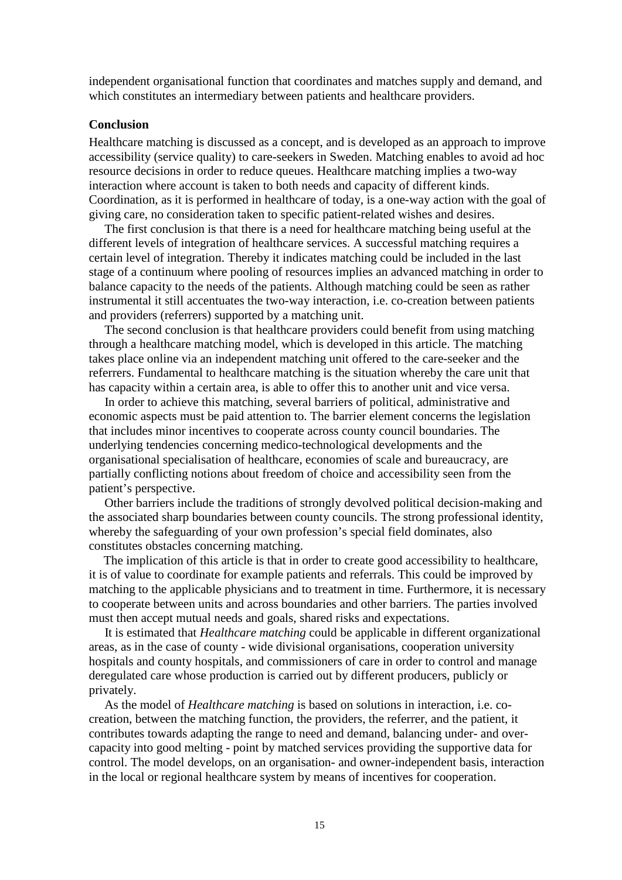independent organisational function that coordinates and matches supply and demand, and which constitutes an intermediary between patients and healthcare providers.

#### **Conclusion**

Healthcare matching is discussed as a concept, and is developed as an approach to improve accessibility (service quality) to care-seekers in Sweden. Matching enables to avoid ad hoc resource decisions in order to reduce queues. Healthcare matching implies a two-way interaction where account is taken to both needs and capacity of different kinds. Coordination, as it is performed in healthcare of today, is a one-way action with the goal of giving care, no consideration taken to specific patient-related wishes and desires.

 The first conclusion is that there is a need for healthcare matching being useful at the different levels of integration of healthcare services. A successful matching requires a certain level of integration. Thereby it indicates matching could be included in the last stage of a continuum where pooling of resources implies an advanced matching in order to balance capacity to the needs of the patients. Although matching could be seen as rather instrumental it still accentuates the two-way interaction, i.e. co-creation between patients and providers (referrers) supported by a matching unit.

 The second conclusion is that healthcare providers could benefit from using matching through a healthcare matching model, which is developed in this article. The matching takes place online via an independent matching unit offered to the care-seeker and the referrers. Fundamental to healthcare matching is the situation whereby the care unit that has capacity within a certain area, is able to offer this to another unit and vice versa.

 In order to achieve this matching, several barriers of political, administrative and economic aspects must be paid attention to. The barrier element concerns the legislation that includes minor incentives to cooperate across county council boundaries. The underlying tendencies concerning medico-technological developments and the organisational specialisation of healthcare, economies of scale and bureaucracy, are partially conflicting notions about freedom of choice and accessibility seen from the patient's perspective.

 Other barriers include the traditions of strongly devolved political decision-making and the associated sharp boundaries between county councils. The strong professional identity, whereby the safeguarding of your own profession's special field dominates, also constitutes obstacles concerning matching.

The implication of this article is that in order to create good accessibility to healthcare, it is of value to coordinate for example patients and referrals. This could be improved by matching to the applicable physicians and to treatment in time. Furthermore, it is necessary to cooperate between units and across boundaries and other barriers. The parties involved must then accept mutual needs and goals, shared risks and expectations.

 It is estimated that *Healthcare matching* could be applicable in different organizational areas, as in the case of county - wide divisional organisations, cooperation university hospitals and county hospitals, and commissioners of care in order to control and manage deregulated care whose production is carried out by different producers, publicly or privately.

 As the model of *Healthcare matching* is based on solutions in interaction, i.e. cocreation, between the matching function, the providers, the referrer, and the patient, it contributes towards adapting the range to need and demand, balancing under- and overcapacity into good melting - point by matched services providing the supportive data for control. The model develops, on an organisation- and owner-independent basis, interaction in the local or regional healthcare system by means of incentives for cooperation.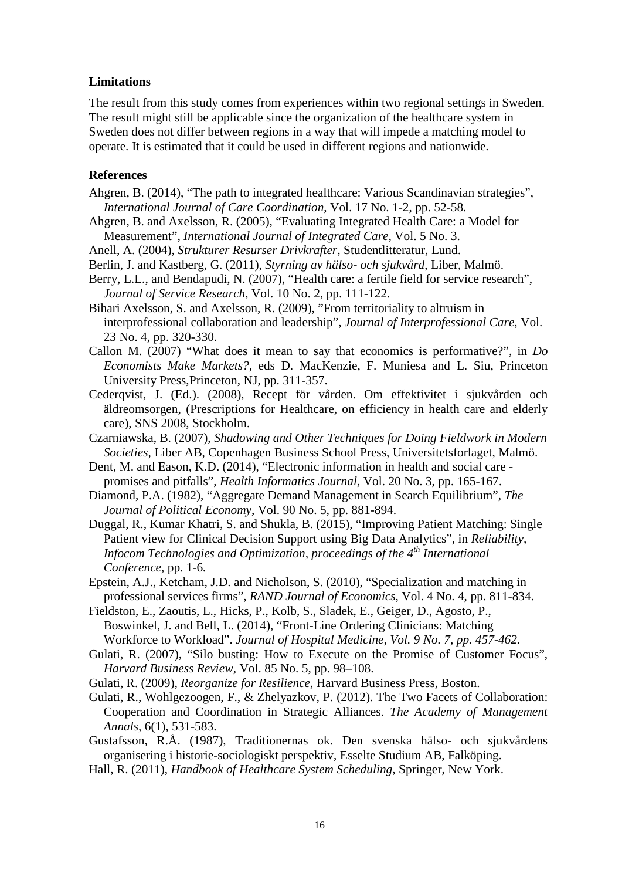### **Limitations**

The result from this study comes from experiences within two regional settings in Sweden. The result might still be applicable since the organization of the healthcare system in Sweden does not differ between regions in a way that will impede a matching model to operate. It is estimated that it could be used in different regions and nationwide.

### **References**

- Ahgren, B. (2014), "The path to integrated healthcare: Various Scandinavian strategies", *International Journal of Care Coordination*, Vol. 17 No. 1-2, pp. 52-58.
- Ahgren, B. and Axelsson, R. (2005), "Evaluating Integrated Health Care: a Model for Measurement", *International Journal of Integrated Care,* Vol. 5 No. 3.
- Anell, A. (2004), *Strukturer Resurser Drivkrafter*, Studentlitteratur, Lund.
- Berlin, J. and Kastberg, G. (2011), *Styrning av hälso- och sjukvård*, Liber, Malmö.
- Berry, L.L., and Bendapudi, N. (2007), "Health care: a fertile field for service research", *Journal of Service Research*, Vol. 10 No. 2, pp. 111-122.
- Bihari Axelsson, S. and Axelsson, R. (2009), "From territoriality to altruism in interprofessional collaboration and leadership", *Journal of Interprofessional Care*, Vol. 23 No. 4, pp. 320-330.
- Callon M. (2007) "What does it mean to say that economics is performative?", in *Do Economists Make Markets?,* eds D. MacKenzie, F. Muniesa and L. Siu, Princeton University Press,Princeton, NJ, pp. 311-357.
- Cederqvist, J. (Ed.). (2008), Recept för vården. Om effektivitet i sjukvården och äldreomsorgen, (Prescriptions for Healthcare, on efficiency in health care and elderly care), SNS 2008, Stockholm.
- Czarniawska, B. (2007), *Shadowing and Other Techniques for Doing Fieldwork in Modern Societies,* Liber AB, Copenhagen Business School Press, Universitetsforlaget, Malmö.
- Dent, M. and Eason, K.D. (2014), "Electronic information in health and social care promises and pitfalls", *Health Informatics Journal*, Vol. 20 No. 3, pp. 165-167.
- Diamond, P.A. (1982), "Aggregate Demand Management in Search Equilibrium", *The Journal of Political Economy*, Vol. 90 No. 5, pp. 881-894.
- Duggal, R., Kumar Khatri, S. and Shukla, B. (2015), "Improving Patient Matching: Single Patient view for Clinical Decision Support using Big Data Analytics", in *Reliability, Infocom Technologies and Optimization, proceedings of the 4th International Conference,* pp. 1-6*.*
- Epstein, A.J., Ketcham, J.D. and Nicholson, S. (2010), "Specialization and matching in professional services firms", *RAND Journal of Economics*, Vol. 4 No. 4, pp. 811-834.
- Fieldston, E., Zaoutis, L., Hicks, P., Kolb, S., Sladek, E., Geiger, D., Agosto, P., Boswinkel, J. and Bell, L. (2014), "Front-Line Ordering Clinicians: Matching Workforce to Workload". *Journal of Hospital Medicine, Vol. 9 No. 7, pp. 457-462.*
- Gulati, R. (2007), "Silo busting: How to Execute on the Promise of Customer Focus", *Harvard Business Review*, Vol. 85 No. 5, pp. 98–108.
- Gulati, R. (2009), *Reorganize for Resilience*, Harvard Business Press, Boston.
- Gulati, R., Wohlgezoogen, F., & Zhelyazkov, P. (2012). The Two Facets of Collaboration: Cooperation and Coordination in Strategic Alliances. *The Academy of Management Annals,* 6(1), 531-583.
- Gustafsson, R.Å. (1987), Traditionernas ok. Den svenska hälso- och sjukvårdens organisering i historie-sociologiskt perspektiv, Esselte Studium AB, Falköping.
- Hall, R. (2011), *Handbook of Healthcare System Scheduling*, Springer, New York.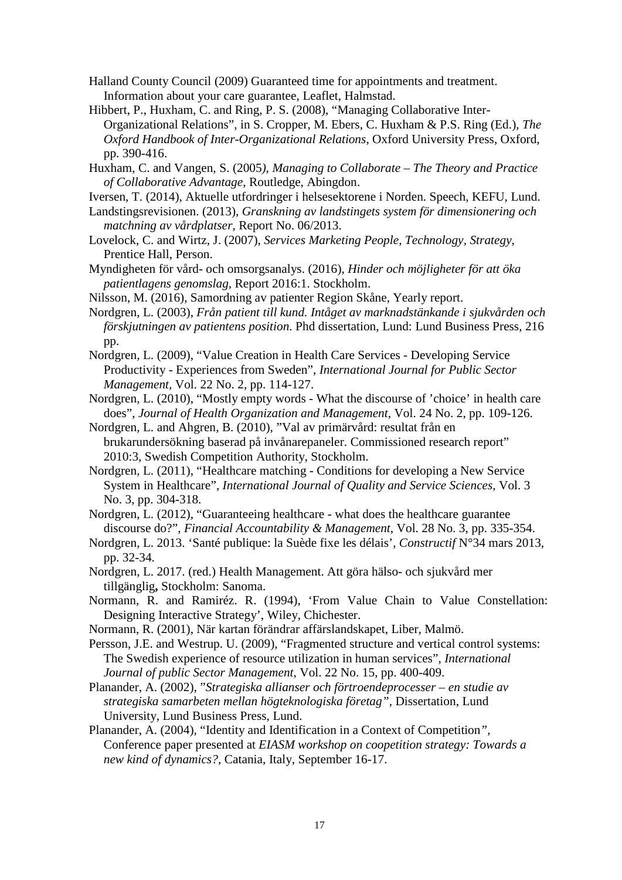- Halland County Council (2009) Guaranteed time for appointments and treatment. Information about your care guarantee, Leaflet, Halmstad.
- Hibbert, P., Huxham, C. and Ring, P. S. (2008), "Managing Collaborative Inter-Organizational Relations", in S. Cropper, M. Ebers, C. Huxham & P.S. Ring (Ed.), *The Oxford Handbook of Inter-Organizational Relations*, Oxford University Press, Oxford, pp. 390-416.
- Huxham, C. and Vangen, S. (2005*)*, *Managing to Collaborate – The Theory and Practice of Collaborative Advantage*, Routledge, Abingdon.
- Iversen, T. (2014), Aktuelle utfordringer i helsesektorene i Norden. Speech, KEFU, Lund.
- Landstingsrevisionen. (2013), *Granskning av landstingets system för dimensionering och matchning av vårdplatser,* Report No. 06/2013.
- Lovelock, C. and Wirtz, J. (2007), *Services Marketing People, Technology, Strategy*, Prentice Hall, Person.
- Myndigheten för vård- och omsorgsanalys. (2016), *Hinder och möjligheter för att öka patientlagens genomslag,* Report 2016:1. Stockholm.
- Nilsson, M. (2016), Samordning av patienter Region Skåne, Yearly report.
- Nordgren, L. (2003), *Från patient till kund. Intåget av marknadstänkande i sjukvården och förskjutningen av patientens position*. Phd dissertation, Lund: Lund Business Press, 216 pp.
- Nordgren, L. (2009), "Value Creation in Health Care Services Developing Service Productivity - Experiences from Sweden", *International Journal for Public Sector Management,* Vol. 22 No. 2, pp. 114-127.
- Nordgren, L. (2010), "Mostly empty words What the discourse of 'choice' in health care does", *Journal of Health Organization and Management*, Vol. 24 No. 2, pp. 109-126.
- Nordgren, L. and Ahgren, B. (2010), "Val av primärvård: resultat från en brukarundersökning baserad på invånarepaneler. Commissioned research report" 2010:3, Swedish Competition Authority, Stockholm.
- Nordgren, L. (2011), "Healthcare matching Conditions for developing a New Service System in Healthcare", *International Journal of Quality and Service Sciences,* Vol. 3 No. 3, pp. 304-318.
- Nordgren, L. (2012), "Guaranteeing healthcare what does the healthcare guarantee discourse do?", *Financial Accountability & Management*, Vol. 28 No. 3, pp. 335-354.
- Nordgren, L. 2013. 'Santé publique: la Suède fixe les délais', *Constructif* N°34 mars 2013, pp. 32-34.
- Nordgren, L. 2017. (red.) Health Management. Att göra hälso- och sjukvård mer tillgänglig**,** Stockholm: Sanoma.
- Normann, R. and Ramiréz. R. (1994), 'From Value Chain to Value Constellation: Designing Interactive Strategy', Wiley, Chichester.
- Normann, R. (2001), När kartan förändrar affärslandskapet, Liber, Malmö.
- Persson, J.E. and Westrup. U. (2009), "Fragmented structure and vertical control systems: The Swedish experience of resource utilization in human services", *International Journal of public Sector Management*, Vol. 22 No. 15, pp. 400-409.
- Planander, A. (2002), "*Strategiska allianser och förtroendeprocesser – en studie av strategiska samarbeten mellan högteknologiska företag",* Dissertation, Lund University, Lund Business Press, Lund.
- Planander, A. (2004), "Identity and Identification in a Context of Competition*"*, Conference paper presented at *EIASM workshop on coopetition strategy: Towards a new kind of dynamics?*, Catania, Italy, September 16-17.